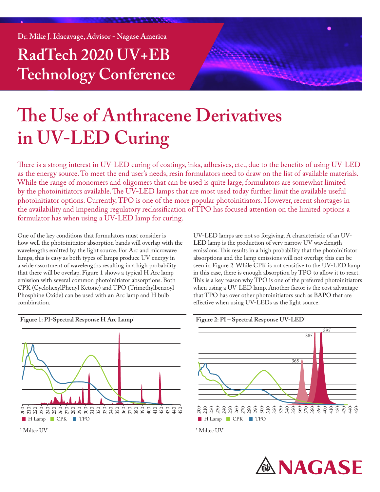**Dr. Mike J. Idacavage, Advisor - Nagase America**

**RadTech 2020 UV+EB Technology Conference**



# **The Use of Anthracene Derivatives in UV-LED Curing**

There is a strong interest in UV-LED curing of coatings, inks, adhesives, etc., due to the benefits of using UV-LED as the energy source. To meet the end user's needs, resin formulators need to draw on the list of available materials. While the range of monomers and oligomers that can be used is quite large, formulators are somewhat limited by the photoinitiators available. The UV-LED lamps that are most used today further limit the available useful photoinitiator options. Currently, TPO is one of the more popular photoinitiators. However, recent shortages in the availability and impending regulatory reclassification of TPO has focused attention on the limited options a formulator has when using a UV-LED lamp for curing.

One of the key conditions that formulators must consider is how well the photoinitiator absorption bands will overlap with the wavelengths emitted by the light source. For Arc and microwave lamps, this is easy as both types of lamps produce UV energy in a wide assortment of wavelengths resulting in a high probability that there will be overlap. Figure 1 shows a typical H Arc lamp emission with several common photoinitiator absorptions. Both CPK (CyclohexylPhenyl Ketone) and TPO (Trimethylbenzoyl Phosphine Oxide) can be used with an Arc lamp and H bulb combination.



**Figure 1: PI-Spectral Response H Arc Lamp1**

UV-LED lamps are not so forgiving. A characteristic of an UV-LED lamp is the production of very narrow UV wavelength emissions. This results in a high probability that the photoinitiator absorptions and the lamp emissions will not overlap; this can be seen in Figure 2. While CPK is not sensitive to the UV-LED lamp in this case, there is enough absorption by TPO to allow it to react. This is a key reason why TPO is one of the preferred photoinitiators when using a UV-LED lamp. Another factor is the cost advantage that TPO has over other photoinitiators such as BAPO that are effective when using UV-LEDs as the light source.





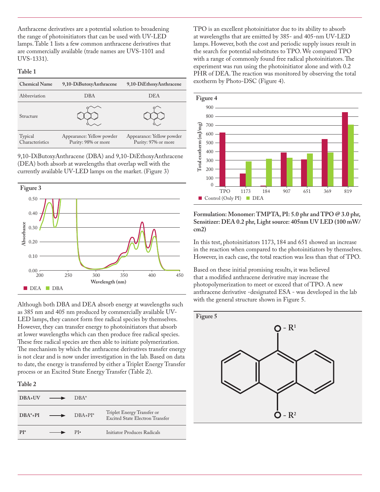Anthracene derivatives are a potential solution to broadening the range of photoinitiators that can be used with UV-LED lamps. Table 1 lists a few common anthracene derivatives that are commercially available (trade names are UVS-1101 and UVS-1331).

#### **Table 1**

| <b>Chemical Name</b>       | 9,10-DiButoxyAnthracene                          | 9,10-DiEthoxyAnthracene                          |
|----------------------------|--------------------------------------------------|--------------------------------------------------|
| Abbreviation               | <b>DBA</b>                                       | <b>DEA</b>                                       |
| Structure                  |                                                  |                                                  |
| Typical<br>Characteristics | Appearance: Yellow powder<br>Purity: 98% or more | Appearance: Yellow powder<br>Purity: 97% or more |

9,10-DiButoxyAnthracene (DBA) and 9,10-DiEthoxyAnthracene (DEA) both absorb at wavelengths that overlap well with the currently available UV-LED lamps on the market. (Figure 3)



Although both DBA and DEA absorb energy at wavelengths such as 385 nm and 405 nm produced by commercially available UV-LED lamps, they cannot form free radical species by themselves. However, they can transfer energy to photoinitiators that absorb at lower wavelengths which can then produce free radical species. These free radical species are then able to initiate polymerization. The mechanism by which the anthracene derivatives transfer energy is not clear and is now under investigation in the lab. Based on data to date, the energy is transferred by either a Triplet Energy Transfer process or an Excited State Energy Transfer (Table 2).

#### **Table 2**

| DBA <sub>+UV</sub> | $\text{DBA*}$ |                                                               |
|--------------------|---------------|---------------------------------------------------------------|
| $DRA^* + PI$       | $DRA + PI^*$  | Triplet Energy Transfer or<br>Excited State Electron Transfer |
| $PI*$              | $PI-$         | Initiator Produces Radicals                                   |

TPO is an excellent photoinitiator due to its ability to absorb at wavelengths that are emitted by 385- and 405-nm UV-LED lamps. However, both the cost and periodic supply issues result in the search for potential substitutes to TPO. We compared TPO with a range of commonly found free radical photoinitiators. The experiment was run using the photoinitiator alone and with 0.2 PHR of DEA. The reaction was monitored by observing the total exotherm by Photo-DSC (Figure 4).



**Formulation: Monomer: TMPTA, PI: 5.0 phr and TPO @ 3.0 phr, Sensitizer: DEA 0.2 phr, Light source: 405nm UV LED (100 mW/ cm2)**

In this test, photoinitiators 1173, 184 and 651 showed an increase in the reaction when compared to the photoinitiators by themselves. However, in each case, the total reaction was less than that of TPO.

Based on these initial promising results, it was believed that a modified anthracene derivative may increase the photopolymerization to meet or exceed that of TPO. A new anthracene derivative -designated ESA - was developed in the lab with the general structure shown in Figure 5.

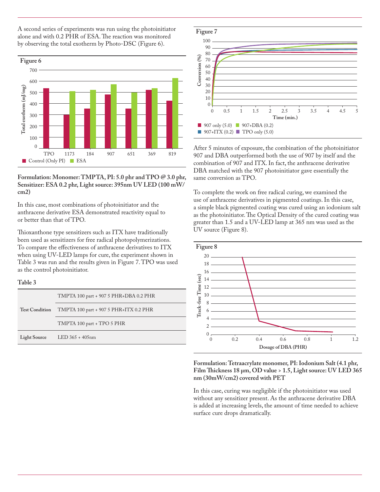A second series of experiments was run using the photoinitiator alone and with 0.2 PHR of ESA. The reaction was monitored by observing the total exotherm by Photo-DSC (Figure 6).



#### **Formulation: Monomer: TMPTA, PI: 5.0 phr and TPO @ 3.0 phr, Sensitizer: ESA 0.2 phr, Light source: 395nm UV LED (100 mW/ cm2)**

In this case, most combinations of photoinitiator and the anthracene derivative ESA demonstrated reactivity equal to or better than that of TPO.

Thioxanthone type sensitizers such as ITX have traditionally been used as sensitizers for free radical photopolymerizations. To compare the effectiveness of anthracene derivatives to ITX when using UV-LED lamps for cure, the experiment shown in Table 3 was run and the results given in Figure 7. TPO was used as the control photoinitiator.

#### **Table 3**

| <b>Test Condition</b> | TMPTA 100 part + 907 5 PHR+DBA 0.2 PHR |  |
|-----------------------|----------------------------------------|--|
|                       | TMPTA 100 part + 907 5 PHR+ITX 0.2 PHR |  |
|                       | TMPTA 100 part + TPO 5 PHR             |  |
| <b>Light Source</b>   | $LED 365 + 405nm$                      |  |



After 5 minutes of exposure, the combination of the photoinitiator 907 and DBA outperformed both the use of 907 by itself and the combination of 907 and ITX. In fact, the anthracene derivative DBA matched with the 907 photoinitiator gave essentially the same conversion as TPO.

To complete the work on free radical curing, we examined the use of anthracene derivatives in pigmented coatings. In this case, a simple black pigmented coating was cured using an iodonium salt as the photoinitiator. The Optical Density of the cured coating was greater than 1.5 and a UV-LED lamp at 365 nm was used as the UV source (Figure 8).



**Formulation: Tetraacrylate monomer, PI: Iodonium Salt (4.1 phr, Film Thickness 18 µm, OD value > 1.5, Light source: UV LED 365 nm (30mW/cm2) covered with PET**

In this case, curing was negligible if the photoinitiator was used without any sensitizer present. As the anthracene derivative DBA is added at increasing levels, the amount of time needed to achieve surface cure drops dramatically.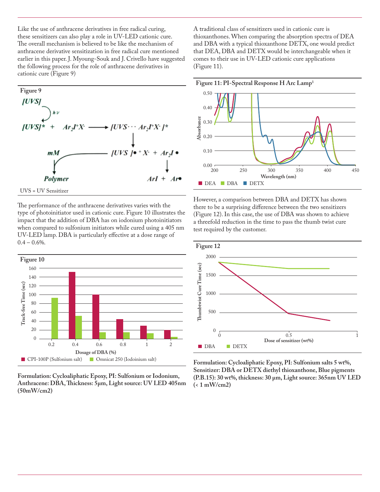Like the use of anthracene derivatives in free radical curing, these sensitizers can also play a role in UV-LED cationic cure. The overall mechanism is believed to be like the mechanism of anthracene derivative sensitization in free radical cure mentioned earlier in this paper. J. Myoung-Souk and J. Crivello have suggested the following process for the role of anthracene derivatives in cationic cure (Figure 9)





The performance of the anthracene derivatives varies with the type of photoinitiator used in cationic cure. Figure 10 illustrates the impact that the addition of DBA has on iodonium photoinitiators when compared to sulfonium initiators while cured using a 405 nm UV-LED lamp. DBA is particularly effective at a dose range of  $0.4 - 0.6\%$ .



**Formulation: Cycloaliphatic Epoxy, PI: Sulfonium or Iodonium, Anthracene: DBA, Thickness: 5µm, Light source: UV LED 405nm (50mW/cm2)**

A traditional class of sensitizers used in cationic cure is thioxanthones. When comparing the absorption spectra of DEA and DBA with a typical thioxanthone DETX, one would predict that DEA, DBA and DETX would be interchangeable when it comes to their use in UV-LED cationic cure applications (Figure 11).



However, a comparison between DBA and DETX has shown there to be a surprising difference between the two sensitizers (Figure 12). In this case, the use of DBA was shown to achieve a threefold reduction in the time to pass the thumb twist cure test required by the customer.



**Formulation: Cycloaliphatic Epoxy, PI: Sulfonium salts 5 wt%, Sensitizer: DBA or DETX diethyl thioxanthone, Blue pigments (P.B.15): 30 wt%, thickness: 30 µm, Light source: 365nm UV LED (< 1 mW/cm2)**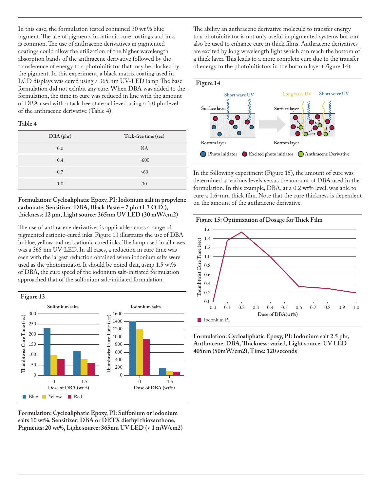In this case, the formulation tested contained 30 wt % blue pigment. The use of pigments in cationic cure coatings and inks is common. The use of anthracene derivatives in pigmented coatings could allow the utilization of the higher wavelength absorption bands of the anthracene derivative followed by the transference of energy to a photoinitiator that may be blocked by the pigment. In this experiment, a black matrix coating used in LCD displays was cured using a 365 nm UV-LED lamp. The base formulation did not exhibit any cure. When DBA was added to the formulation, the time to cure was reduced in line with the amount of DBA used with a tack free state achieved using a 1.0 phr level of the anthracene derivative (Table 4).

**Table 4**

| DBA (phr) | Tack-free time (sec) |
|-----------|----------------------|
| 0.0       | <b>NA</b>            |
| 0.4       | >600                 |
| 0.7       | >60                  |
| 1.0       | 30                   |

**Formulation: Cycloaliphatic Epoxy, PI: Iodonium salt in propylene carbonate, Sensitizer: DBA, Black Paste – 7 phr (1.3 O.D.), thickness: 12 µm, Light source: 365nm UV LED (30 mW/cm2)**

The use of anthracene derivatives is applicable across a range of pigmented cationic-cured inks. Figure 13 illustrates the use of DBA in blue, yellow and red cationic cured inks. The lamp used in all cases was a 365 nm UV-LED. In all cases, a reduction in cure time was seen with the largest reduction obtained when iodonium salts were used as the photoinitiator. It should be noted that, using 1.5 wt% of DBA, the cure speed of the iodonium salt-initiated formulation approached that of the sulfonium salt-initiated formulation.



**Formulation: Cycloaliphatic Epoxy, PI: Sulfonium or iodonium salts 10 wt%, Sensitizer: DBA or DETX diethyl thioxanthone, Pigments: 20 wt%, Light source: 365nm UV LED (< 1 mW/cm2)** The ability an anthracene derivative molecule to transfer energy to a photoinitiator is not only useful in pigmented systems but can also be used to enhance cure in thick films. Anthracene derivatives are excited by long wavelength light which can reach the bottom of a thick layer. This leads to a more complete cure due to the transfer of energy to the photoinitiators in the bottom layer (Figure 14).



In the following experiment (Figure 15), the amount of cure was determined at various levels versus the amount of DBA used in the formulation. In this example, DBA, at a 0.2 wt% level, was able to cure a 1.6-mm thick film. Note that the cure thickness is dependent on the amount of the anthracene derivative.



**Formulation: Cycloaliphatic Epoxy, PI: Iodonium salt 2.5 phr, Anthracene: DBA, Thickness: varied, Light source: UV LED 405nm (50mW/cm2), Time: 120 seconds**